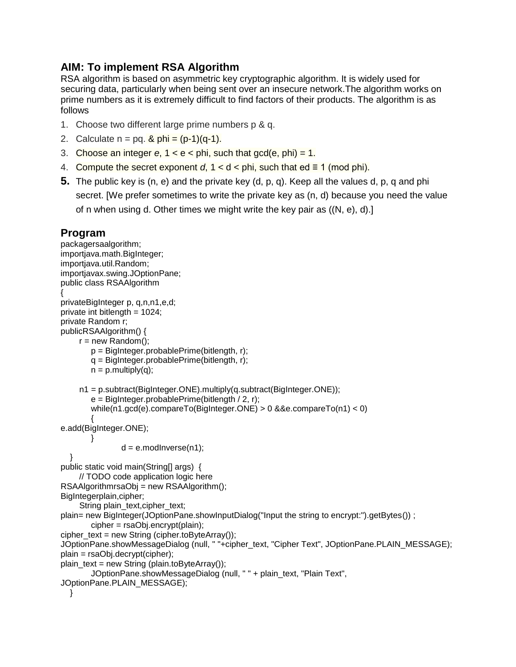## **AIM: To implement RSA Algorithm**

RSA algorithm is based on asymmetric key cryptographic algorithm. It is widely used for securing data, particularly when being sent over an insecure network.The algorithm works on prime numbers as it is extremely difficult to find factors of their products. The algorithm is as follows

- 1. Choose two different large prime numbers p & q.
- 2. Calculate  $n = pq$ .  $\& phi = (p-1)(q-1)$ .
- 3. Choose an integer  $e$ ,  $1 < e <$  phi, such that gcd( $e$ , phi) = 1.
- 4. Compute the secret exponent  $d, 1 < d <$  phi, such that  $ed \equiv 1 \pmod{phi}$ .
- **5.** The public key is (n, e) and the private key (d, p, q). Keep all the values d, p, q and phi secret. [We prefer sometimes to write the private key as (n, d) because you need the value of n when using d. Other times we might write the key pair as ((N, e), d).]

## **Program**

packagersaalgorithm; importjava.math.BigInteger; importjava.util.Random; importjavax.swing.JOptionPane; public class RSAAlgorithm { privateBigInteger p, q,n,n1,e,d; private int bitlength = 1024; private Random r; publicRSAAlgorithm() {  $r = new Random()$ ; p = BigInteger.probablePrime(bitlength, r); q = BigInteger.probablePrime(bitlength, r);  $n = p$ . multiply(q); n1 = p.subtract(BigInteger.ONE).multiply(q.subtract(BigInteger.ONE));  $e =$  BigInteger.probablePrime(bitlength / 2, r); while(n1.gcd(e).compareTo(BigInteger.ONE) > 0 &&e.compareTo(n1) < 0) { e.add(BigInteger.ONE); }  $d = e$ .modInverse(n1); } public static void main(String[] args) { // TODO code application logic here RSAAlgorithmrsaObj = new RSAAlgorithm(); BigIntegerplain,cipher; String plain\_text,cipher\_text; plain= new BigInteger(JOptionPane.showInputDialog("Input the string to encrypt:").getBytes()) ; cipher = rsaObj.encrypt(plain); cipher\_text = new String (cipher.toByteArray()); JOptionPane.showMessageDialog (null, " "+cipher\_text, "Cipher Text", JOptionPane.PLAIN\_MESSAGE); plain = rsaObj.decrypt(cipher); plain  $text = new String (plain.toByteArray());$ JOptionPane.showMessageDialog (null, " " + plain\_text, "Plain Text", JOptionPane.PLAIN\_MESSAGE); }